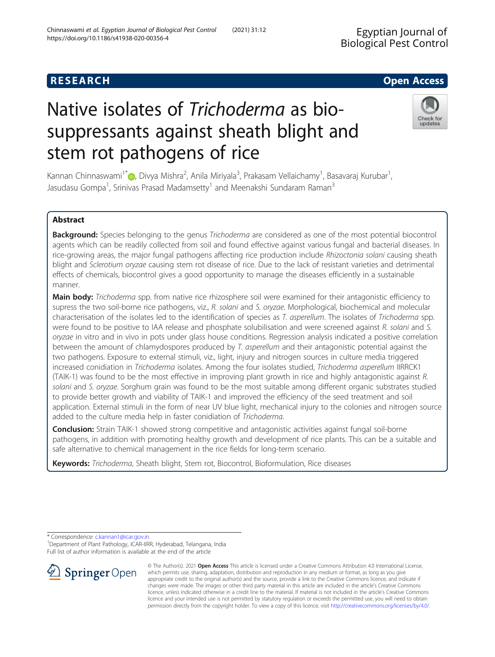# **RESEARCH CHILD CONTROL** CONTROL CONTROL CONTROL CONTROL CONTROL CONTROL CONTROL CONTROL CONTROL CONTROL CONTROL

# Native isolates of Trichoderma as biosuppressants against sheath blight and stem rot pathogens of rice

Kannan Chinnaswami<sup>1\*</sup>�[,](http://orcid.org/0000-0002-5852-2341) Divya Mishra<sup>2</sup>, Anila Miriyala<sup>3</sup>, Prakasam Vellaichamy<sup>1</sup>, Basavaraj Kurubar<sup>1</sup> , Jasudasu Gompa<sup>1</sup>, Srinivas Prasad Madamsetty<sup>1</sup> and Meenakshi Sundaram Raman<sup>3</sup>

# Abstract

Background: Species belonging to the genus Trichoderma are considered as one of the most potential biocontrol agents which can be readily collected from soil and found effective against various fungal and bacterial diseases. In rice-growing areas, the major fungal pathogens affecting rice production include Rhizoctonia solani causing sheath blight and Sclerotium oryzae causing stem rot disease of rice. Due to the lack of resistant varieties and detrimental effects of chemicals, biocontrol gives a good opportunity to manage the diseases efficiently in a sustainable manner.

Main body: Trichoderma spp. from native rice rhizosphere soil were examined for their antagonistic efficiency to supress the two soil-borne rice pathogens, viz., R. solani and S. oryzae. Morphological, biochemical and molecular characterisation of the isolates led to the identification of species as T. asperellum. The isolates of Trichoderma spp. were found to be positive to IAA release and phosphate solubilisation and were screened against R. solani and S. oryzae in vitro and in vivo in pots under glass house conditions. Regression analysis indicated a positive correlation between the amount of chlamydospores produced by T. asperellum and their antagonistic potential against the two pathogens. Exposure to external stimuli, viz., light, injury and nitrogen sources in culture media triggered increased conidiation in Trichoderma isolates. Among the four isolates studied, Trichoderma asperellum IIRRCK1 (TAIK-1) was found to be the most effective in improving plant growth in rice and highly antagonistic against R. solani and S. oryzae. Sorghum grain was found to be the most suitable among different organic substrates studied to provide better growth and viability of TAIK-1 and improved the efficiency of the seed treatment and soil application. External stimuli in the form of near UV blue light, mechanical injury to the colonies and nitrogen source added to the culture media help in faster conidiation of Trichoderma.

Conclusion: Strain TAIK-1 showed strong competitive and antagonistic activities against fungal soil-borne pathogens, in addition with promoting healthy growth and development of rice plants. This can be a suitable and safe alternative to chemical management in the rice fields for long-term scenario.

Keywords: Trichoderma, Sheath blight, Stem rot, Biocontrol, Bioformulation, Rice diseases

\* Correspondence: [c.kannan1@icar.gov.in](mailto:c.kannan1@icar.gov.in) <sup>1</sup>

Department of Plant Pathology, ICAR-IIRR, Hyderabad, Telangana, India Full list of author information is available at the end of the article



© The Author(s). 2021 Open Access This article is licensed under a Creative Commons Attribution 4.0 International License, which permits use, sharing, adaptation, distribution and reproduction in any medium or format, as long as you give appropriate credit to the original author(s) and the source, provide a link to the Creative Commons licence, and indicate if changes were made. The images or other third party material in this article are included in the article's Creative Commons licence, unless indicated otherwise in a credit line to the material. If material is not included in the article's Creative Commons licence and your intended use is not permitted by statutory regulation or exceeds the permitted use, you will need to obtain permission directly from the copyright holder. To view a copy of this licence, visit <http://creativecommons.org/licenses/by/4.0/>.

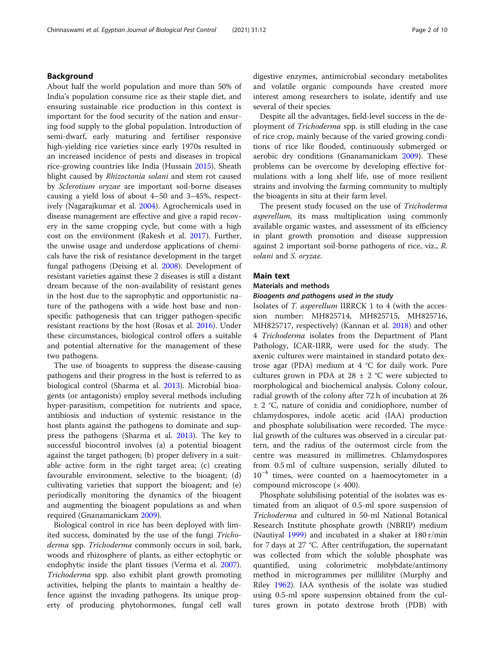# Background

About half the world population and more than 50% of India's population consume rice as their staple diet, and ensuring sustainable rice production in this context is important for the food security of the nation and ensuring food supply to the global population. Introduction of semi-dwarf, early maturing and fertiliser responsive high-yielding rice varieties since early 1970s resulted in an increased incidence of pests and diseases in tropical rice-growing countries like India (Hussain [2015](#page-9-0)). Sheath blight caused by Rhizoctonia solani and stem rot caused by Sclerotium oryzae are important soil-borne diseases causing a yield loss of about 4–50 and 3–45%, respectively (Nagarajkumar et al. [2004](#page-9-0)). Agrochemicals used in disease management are effective and give a rapid recovery in the same cropping cycle, but come with a high cost on the environment (Rakesh et al. [2017\)](#page-9-0). Further, the unwise usage and underdose applications of chemicals have the risk of resistance development in the target fungal pathogens (Deising et al. [2008](#page-8-0)). Development of resistant varieties against these 2 diseases is still a distant dream because of the non-availability of resistant genes in the host due to the saprophytic and opportunistic nature of the pathogens with a wide host base and nonspecific pathogenesis that can trigger pathogen-specific resistant reactions by the host (Rosas et al. [2016](#page-9-0)). Under these circumstances, biological control offers a suitable and potential alternative for the management of these two pathogens.

The use of bioagents to suppress the disease-causing pathogens and their progress in the host is referred to as biological control (Sharma et al. [2013\)](#page-9-0). Microbial bioagents (or antagonists) employ several methods including hyper-parasitism, competition for nutrients and space, antibiosis and induction of systemic resistance in the host plants against the pathogens to dominate and suppress the pathogens (Sharma et al. [2013](#page-9-0)). The key to successful biocontrol involves (a) a potential bioagent against the target pathogen; (b) proper delivery in a suitable active form in the right target area; (c) creating favourable environment, selective to the bioagent; (d) cultivating varieties that support the bioagent; and (e) periodically monitoring the dynamics of the bioagent and augmenting the bioagent populations as and when required (Gnanamanickam [2009](#page-8-0)).

Biological control in rice has been deployed with limited success, dominated by the use of the fungi Trichoderma spp. Trichoderma commonly occurs in soil, bark, woods and rhizosphere of plants, as either ectophytic or endophytic inside the plant tissues (Verma et al. [2007](#page-9-0)). Trichoderma spp. also exhibit plant growth promoting activities, helping the plants to maintain a healthy defence against the invading pathogens. Its unique property of producing phytohormones, fungal cell wall

digestive enzymes, antimicrobial secondary metabolites and volatile organic compounds have created more interest among researchers to isolate, identify and use several of their species.

Despite all the advantages, field-level success in the deployment of Trichoderma spp. is still eluding in the case of rice crop, mainly because of the varied growing conditions of rice like flooded, continuously submerged or aerobic dry conditions (Gnanamanickam [2009\)](#page-8-0). These problems can be overcome by developing effective formulations with a long shelf life, use of more resilient strains and involving the farming community to multiply the bioagents in situ at their farm level.

The present study focused on the use of Trichoderma asperellum, its mass multiplication using commonly available organic wastes, and assessment of its efficiency in plant growth promotion and disease suppression against 2 important soil-borne pathogens of rice, viz., R. solani and S. oryzae.

# Main text

# Materials and methods Bioagents and pathogens used in the study

Isolates of T. asperellum IIRRCK 1 to 4 (with the accession number: MH825714, MH825715, MH825716, MH825717, respectively) (Kannan et al. [2018\)](#page-9-0) and other 4 Trichoderma isolates from the Department of Plant Pathology, ICAR-IIRR, were used for the study. The axenic cultures were maintained in standard potato dextrose agar (PDA) medium at 4 °C for daily work. Pure cultures grown in PDA at  $28 \pm 2$  °C were subjected to morphological and biochemical analysis. Colony colour, radial growth of the colony after 72 h of incubation at 26 ± 2 °C, nature of conidia and conidiophore, number of chlamydospores, indole acetic acid (IAA) production and phosphate solubilisation were recorded. The mycelial growth of the cultures was observed in a circular pattern, and the radius of the outermost circle from the centre was measured in millimetres. Chlamydospores from 0.5 ml of culture suspension, serially diluted to  $10^{-4}$  times, were counted on a haemocytometer in a compound microscope (× 400).

Phosphate solubilising potential of the isolates was estimated from an aliquot of 0.5-ml spore suspension of Trichoderma and cultured in 50-ml National Botanical Research Institute phosphate growth (NBRIP) medium (Nautiyal [1999\)](#page-9-0) and incubated in a shaker at 180 r/min for 7 days at 27 °C. After centrifugation, the supernatant was collected from which the soluble phosphate was quantified, using colorimetric molybdate/antimony method in microgrammes per millilitre (Murphy and Riley [1962\)](#page-9-0). IAA synthesis of the isolate was studied using 0.5-ml spore suspension obtained from the cultures grown in potato dextrose broth (PDB) with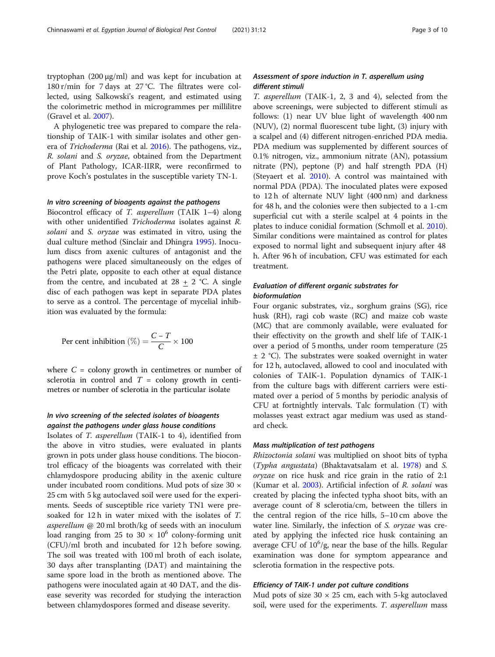tryptophan (200 μg/ml) and was kept for incubation at 180 r/min for 7 days at 27 °C. The filtrates were collected, using Salkowski's reagent, and estimated using the colorimetric method in microgrammes per millilitre (Gravel et al. [2007\)](#page-8-0).

A phylogenetic tree was prepared to compare the relationship of TAIK-1 with similar isolates and other genera of Trichoderma (Rai et al. [2016\)](#page-9-0). The pathogens, viz., R. solani and S. oryzae, obtained from the Department of Plant Pathology, ICAR-IIRR, were reconfirmed to prove Koch's postulates in the susceptible variety TN-1.

#### In vitro screening of bioagents against the pathogens

Biocontrol efficacy of T. asperellum (TAIK 1–4) along with other unidentified *Trichoderma* isolates against R. solani and S. oryzae was estimated in vitro, using the dual culture method (Sinclair and Dhingra [1995\)](#page-9-0). Inoculum discs from axenic cultures of antagonist and the pathogens were placed simultaneously on the edges of the Petri plate, opposite to each other at equal distance from the centre, and incubated at  $28 + 2$  °C. A single disc of each pathogen was kept in separate PDA plates to serve as a control. The percentage of mycelial inhibition was evaluated by the formula:

$$
Per cent inhibition (\%) = \frac{C - T}{C} \times 100
$$

where  $C =$  colony growth in centimetres or number of sclerotia in control and  $T =$  colony growth in centimetres or number of sclerotia in the particular isolate

# In vivo screening of the selected isolates of bioagents against the pathogens under glass house conditions

Isolates of T. asperellum (TAIK-1 to 4), identified from the above in vitro studies, were evaluated in plants grown in pots under glass house conditions. The biocontrol efficacy of the bioagents was correlated with their chlamydospore producing ability in the axenic culture under incubated room conditions. Mud pots of size 30 × 25 cm with 5 kg autoclaved soil were used for the experiments. Seeds of susceptible rice variety TN1 were presoaked for 12 h in water mixed with the isolates of T. asperellum @ 20 ml broth/kg of seeds with an inoculum load ranging from 25 to 30  $\times$  10<sup>6</sup> colony-forming unit (CFU)/ml broth and incubated for 12 h before sowing. The soil was treated with 100 ml broth of each isolate, 30 days after transplanting (DAT) and maintaining the same spore load in the broth as mentioned above. The pathogens were inoculated again at 40 DAT, and the disease severity was recorded for studying the interaction between chlamydospores formed and disease severity.

## Assessment of spore induction in T. asperellum using different stimuli

T. asperellum (TAIK-1, 2, 3 and 4), selected from the above screenings, were subjected to different stimuli as follows: (1) near UV blue light of wavelength 400 nm (NUV), (2) normal fluorescent tube light, (3) injury with a scalpel and (4) different nitrogen-enriched PDA media. PDA medium was supplemented by different sources of 0.1% nitrogen, viz., ammonium nitrate (AN), potassium nitrate (PN), peptone (P) and half strength PDA (H) (Steyaert et al. [2010](#page-9-0)). A control was maintained with normal PDA (PDA). The inoculated plates were exposed to 12 h of alternate NUV light (400 nm) and darkness for 48 h, and the colonies were then subjected to a 1-cm superficial cut with a sterile scalpel at 4 points in the plates to induce conidial formation (Schmoll et al. [2010](#page-9-0)). Similar conditions were maintained as control for plates exposed to normal light and subsequent injury after 48 h. After 96 h of incubation, CFU was estimated for each treatment.

# Evaluation of different organic substrates for bioformulation

Four organic substrates, viz., sorghum grains (SG), rice husk (RH), ragi cob waste (RC) and maize cob waste (MC) that are commonly available, were evaluated for their effectivity on the growth and shelf life of TAIK-1 over a period of 5 months, under room temperature (25  $\pm$  2 °C). The substrates were soaked overnight in water for 12 h, autoclaved, allowed to cool and inoculated with colonies of TAIK-1. Population dynamics of TAIK-1 from the culture bags with different carriers were estimated over a period of 5 months by periodic analysis of CFU at fortnightly intervals. Talc formulation (T) with molasses yeast extract agar medium was used as standard check.

#### Mass multiplication of test pathogens

Rhizoctonia solani was multiplied on shoot bits of typha (Typha angustata) (Bhaktavatsalam et al. [1978\)](#page-8-0) and S. oryzae on rice husk and rice grain in the ratio of 2:1 (Kumar et al. [2003\)](#page-9-0). Artificial infection of R. solani was created by placing the infected typha shoot bits, with an average count of 8 sclerotia/cm, between the tillers in the central region of the rice hills, 5–10 cm above the water line. Similarly, the infection of S. oryzae was created by applying the infected rice husk containing an average CFU of  $10^6$ /g, near the base of the hills. Regular examination was done for symptom appearance and sclerotia formation in the respective pots.

#### Efficiency of TAIK-1 under pot culture conditions

Mud pots of size  $30 \times 25$  cm, each with 5-kg autoclaved soil, were used for the experiments. T. asperellum mass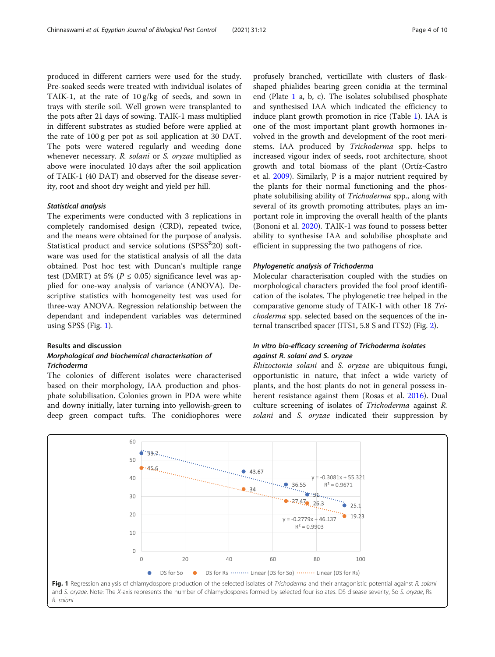<span id="page-3-0"></span>produced in different carriers were used for the study. Pre-soaked seeds were treated with individual isolates of TAIK-1, at the rate of 10 g/kg of seeds, and sown in trays with sterile soil. Well grown were transplanted to the pots after 21 days of sowing. TAIK-1 mass multiplied in different substrates as studied before were applied at the rate of 100 g per pot as soil application at 30 DAT. The pots were watered regularly and weeding done whenever necessary. R. solani or S. oryzae multiplied as above were inoculated 10 days after the soil application of TAIK-1 (40 DAT) and observed for the disease severity, root and shoot dry weight and yield per hill.

#### Statistical analysis

The experiments were conducted with 3 replications in completely randomised design (CRD), repeated twice, and the means were obtained for the purpose of analysis. Statistical product and service solutions (SPSS<sup>R</sup>20) software was used for the statistical analysis of all the data obtained. Post hoc test with Duncan's multiple range test (DMRT) at 5% ( $P \le 0.05$ ) significance level was applied for one-way analysis of variance (ANOVA). Descriptive statistics with homogeneity test was used for three-way ANOVA. Regression relationship between the dependant and independent variables was determined using SPSS (Fig. 1).

#### Results and discussion

# Morphological and biochemical characterisation of Trichoderma

The colonies of different isolates were characterised based on their morphology, IAA production and phosphate solubilisation. Colonies grown in PDA were white and downy initially, later turning into yellowish-green to deep green compact tufts. The conidiophores were profusely branched, verticillate with clusters of flaskshaped phialides bearing green conidia at the terminal end (Plate [1](#page-4-0) a, b, c). The isolates solubilised phosphate and synthesised IAA which indicated the efficiency to induce plant growth promotion in rice (Table [1\)](#page-4-0). IAA is one of the most important plant growth hormones involved in the growth and development of the root meristems. IAA produced by Trichoderma spp. helps to increased vigour index of seeds, root architecture, shoot growth and total biomass of the plant (Ortíz-Castro et al. [2009](#page-9-0)). Similarly, P is a major nutrient required by the plants for their normal functioning and the phosphate solubilising ability of Trichoderma spp., along with several of its growth promoting attributes, plays an important role in improving the overall health of the plants (Bononi et al. [2020\)](#page-8-0). TAIK-1 was found to possess better ability to synthesise IAA and solubilise phosphate and efficient in suppressing the two pathogens of rice.

#### Phylogenetic analysis of Trichoderma

Molecular characterisation coupled with the studies on morphological characters provided the fool proof identification of the isolates. The phylogenetic tree helped in the comparative genome study of TAIK-1 with other 18 Trichoderma spp. selected based on the sequences of the internal transcribed spacer (ITS1, 5.8 S and ITS2) (Fig. [2](#page-5-0)).

# In vitro bio-efficacy screening of Trichoderma isolates against R. solani and S. oryzae

Rhizoctonia solani and S. oryzae are ubiquitous fungi, opportunistic in nature, that infect a wide variety of plants, and the host plants do not in general possess inherent resistance against them (Rosas et al. [2016](#page-9-0)). Dual culture screening of isolates of Trichoderma against R. solani and S. oryzae indicated their suppression by



and S. oryzae. Note: The X-axis represents the number of chlamydospores formed by selected four isolates. DS disease severity, So S. oryzae, Rs R. solani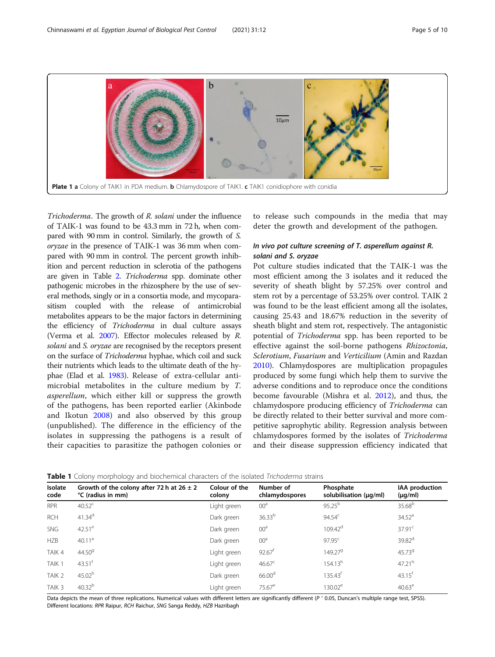<span id="page-4-0"></span>

Trichoderma. The growth of R. solani under the influence of TAIK-1 was found to be 43.3 mm in 72 h, when compared with 90 mm in control. Similarly, the growth of S. oryzae in the presence of TAIK-1 was 36 mm when compared with 90 mm in control. The percent growth inhibition and percent reduction in sclerotia of the pathogens are given in Table [2.](#page-5-0) Trichoderma spp. dominate other pathogenic microbes in the rhizosphere by the use of several methods, singly or in a consortia mode, and mycoparasitism coupled with the release of antimicrobial metabolites appears to be the major factors in determining the efficiency of Trichoderma in dual culture assays (Verma et al. [2007](#page-9-0)). Effector molecules released by R. solani and S. oryzae are recognised by the receptors present on the surface of Trichoderma hyphae, which coil and suck their nutrients which leads to the ultimate death of the hyphae (Elad et al. [1983](#page-8-0)). Release of extra-cellular antimicrobial metabolites in the culture medium by T. asperellum, which either kill or suppress the growth of the pathogens, has been reported earlier (Akinbode and Ikotun [2008](#page-8-0)) and also observed by this group (unpublished). The difference in the efficiency of the isolates in suppressing the pathogens is a result of their capacities to parasitize the pathogen colonies or

to release such compounds in the media that may deter the growth and development of the pathogen.

# In vivo pot culture screening of T. asperellum against R. solani and S. oryzae

Pot culture studies indicated that the TAIK-1 was the most efficient among the 3 isolates and it reduced the severity of sheath blight by 57.25% over control and stem rot by a percentage of 53.25% over control. TAIK 2 was found to be the least efficient among all the isolates, causing 25.43 and 18.67% reduction in the severity of sheath blight and stem rot, respectively. The antagonistic potential of Trichoderma spp. has been reported to be effective against the soil-borne pathogens Rhizoctonia, Sclerotium, Fusarium and Verticilium (Amin and Razdan [2010](#page-8-0)). Chlamydospores are multiplication propagules produced by some fungi which help them to survive the adverse conditions and to reproduce once the conditions become favourable (Mishra et al. [2012](#page-9-0)), and thus, the chlamydospore producing efficiency of Trichoderma can be directly related to their better survival and more competitive saprophytic ability. Regression analysis between chlamydospores formed by the isolates of Trichoderma and their disease suppression efficiency indicated that

| Isolate<br>code   | Growth of the colony after 72 h at $26 \pm 2$<br>°C (radius in mm) | Colour of the<br>colony | Number of<br>chlamydospores | Phosphate<br>solubilisation (µq/ml) | IAA production<br>$(\mu g/ml)$ |
|-------------------|--------------------------------------------------------------------|-------------------------|-----------------------------|-------------------------------------|--------------------------------|
| <b>RPR</b>        | $40.52^{\circ}$                                                    | Light green             | 00 <sup>a</sup>             | $95.25^{b}$                         | 35.68 <sup>b</sup>             |
| <b>RCH</b>        | 41.34 <sup>d</sup>                                                 | Dark green              | 36.33 <sup>b</sup>          | $94.54^c$                           | 34.52 <sup>a</sup>             |
| <b>SNG</b>        | $42.51^e$                                                          | Dark green              | 00 <sup>a</sup>             | $109.42^d$                          | 37.91 <sup>c</sup>             |
| <b>HZB</b>        | 40.11 <sup>a</sup>                                                 | Dark green              | 00 <sup>a</sup>             | $97.95^{\circ}$                     | 39.82 <sup>d</sup>             |
| TAIK 4            | 44.50 <sup>9</sup>                                                 | Light green             | $92.67$ <sup>t</sup>        | 149.279                             | 45.739                         |
| TAIK 1            | $43.51$ <sup>f</sup>                                               | Light green             | $46.67^{\circ}$             | 154.13 <sup>h</sup>                 | 47.21 <sup>h</sup>             |
| TAIK <sub>2</sub> | 45.02 <sup>h</sup>                                                 | Dark green              | 66.00 <sup>d</sup>          | $135.43^{\dagger}$                  | $43.15$ <sup>t</sup>           |
| TAIK <sub>3</sub> | $40.32^{b}$                                                        | Light green             | $75.67^e$                   | $130.02^e$                          | 40.63 <sup>e</sup>             |

Table 1 Colony morphology and biochemical characters of the isolated Trichoderma strains

Data depicts the mean of three replications. Numerical values with different letters are significantly different (P < 0.05, Duncan's multiple range test, SPSS). Different locations: RPR Raipur, RCH Raichur, SNG Sanga Reddy, HZB Hazribagh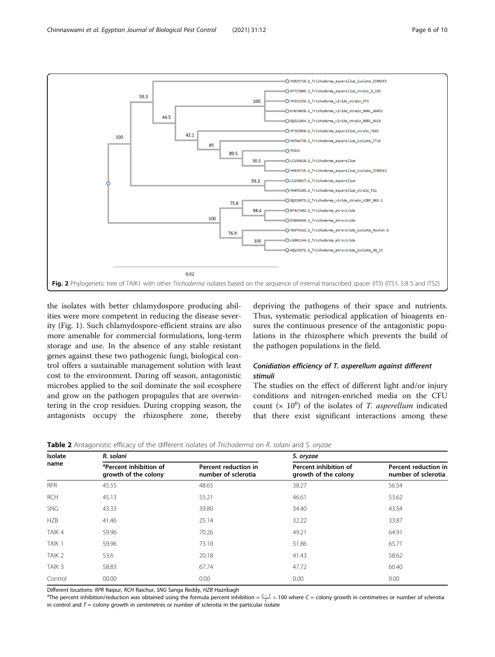<span id="page-5-0"></span>

the isolates with better chlamydospore producing abilities were more competent in reducing the disease severity (Fig. [1\)](#page-3-0). Such chlamydospore-efficient strains are also more amenable for commercial formulations, long-term storage and use. In the absence of any stable resistant genes against these two pathogenic fungi, biological control offers a sustainable management solution with least cost to the environment. During off season, antagonistic microbes applied to the soil dominate the soil ecosphere and grow on the pathogen propagules that are overwintering in the crop residues. During cropping season, the antagonists occupy the rhizosphere zone, thereby

depriving the pathogens of their space and nutrients. Thus, systematic periodical application of bioagents ensures the continuous presence of the antagonistic populations in the rhizosphere which prevents the build of the pathogen populations in the field.

# Conidiation efficiency of T. asperellum against different stimuli

The studies on the effect of different light and/or injury conditions and nitrogen-enriched media on the CFU count ( $\times$  10<sup>6</sup>) of the isolates of *T. asperellum* indicated that there exist significant interactions among these

| Isolate           | R. solani                                                  |                                             | S. oryzae                                     |                                             |  |  |  |  |  |
|-------------------|------------------------------------------------------------|---------------------------------------------|-----------------------------------------------|---------------------------------------------|--|--|--|--|--|
| name              | <sup>a</sup> Percent inhibition of<br>growth of the colony | Percent reduction in<br>number of sclerotia | Percent inhibition of<br>growth of the colony | Percent reduction in<br>number of sclerotia |  |  |  |  |  |
| <b>RPR</b>        | 45.55                                                      | 48.65                                       | 38.27                                         | 56.54                                       |  |  |  |  |  |
| <b>RCH</b>        | 45.13                                                      | 55.21                                       | 46.61                                         | 53.62                                       |  |  |  |  |  |
| SNG               | 43.33                                                      | 39.80                                       | 34.40                                         | 43.54                                       |  |  |  |  |  |
| <b>HZB</b>        | 41.46                                                      | 25.14                                       | 32.22                                         | 33.87                                       |  |  |  |  |  |
| TAIK 4            | 59.96                                                      | 70.26                                       | 49.21                                         | 64.91                                       |  |  |  |  |  |
| TAIK 1            | 59.96                                                      | 73.10                                       | 51.86                                         | 65.71                                       |  |  |  |  |  |
| TAIK <sub>2</sub> | 53.6                                                       | 20.18                                       | 41.43                                         | 58.62                                       |  |  |  |  |  |
| TAIK <sub>3</sub> | 58.83                                                      | 67.74                                       | 47.72                                         | 60.40                                       |  |  |  |  |  |
| Control           | 00.00                                                      | 0.00                                        | 0.00                                          | 0.00                                        |  |  |  |  |  |

Table 2 Antagonistic efficacy of the different isolates of Trichoderma on R. solani and S. oryzae

Different locations: RPR Raipur, RCH Raichur, SNG Sanga Reddy, HZB Hazribagh

<sup>a</sup>The percent inhibition/reduction was obtained using the formula percent inhibition =  $\frac{C-T}{C} \times 100$  where C = colony growth in centimetres or number of sclerotia in control and  $T =$  colony growth in centimetres or number of sclerotia in the particular isolate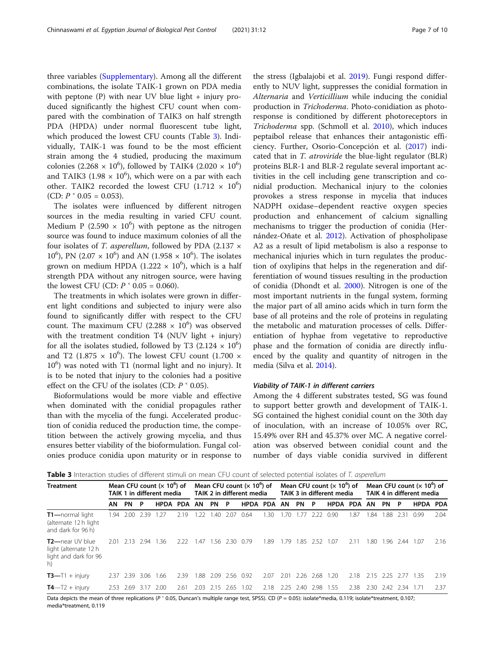three variables ([Supplementary](#page-8-0)). Among all the different combinations, the isolate TAIK-1 grown on PDA media with peptone (P) with near UV blue light + injury produced significantly the highest CFU count when compared with the combination of TAIK3 on half strength PDA (HPDA) under normal fluorescent tube light, which produced the lowest CFU counts (Table 3). Individually, TAIK-1 was found to be the most efficient strain among the 4 studied, producing the maximum colonies (2.268  $\times$  10<sup>6</sup>), followed by TAIK4 (2.020  $\times$  10<sup>6</sup>) and TAIK3 (1.98  $\times$  10<sup>6</sup>), which were on a par with each other. TAIK2 recorded the lowest CFU  $(1.712 \times 10^6)$ (CD:  $P \cdot 0.05 = 0.053$ ).

The isolates were influenced by different nitrogen sources in the media resulting in varied CFU count. Medium P (2.590  $\times$  10<sup>6</sup>) with peptone as the nitrogen source was found to induce maximum colonies of all the four isolates of T. asperellum, followed by PDA (2.137  $\times$ 10<sup>6</sup>), PN (2.07  $\times$  10<sup>6</sup>) and AN (1.958  $\times$  10<sup>6</sup>). The isolates grown on medium HPDA (1.222  $\times$  10<sup>6</sup>), which is a half strength PDA without any nitrogen source, were having the lowest CFU (CD:  $P \text{ }^{\textdegree}$  0.05 = 0.060).

The treatments in which isolates were grown in different light conditions and subjected to injury were also found to significantly differ with respect to the CFU count. The maximum CFU (2.288  $\times$  10<sup>6</sup>) was observed with the treatment condition T4 (NUV light  $+$  injury) for all the isolates studied, followed by T3  $(2.124 \times 10^6)$ and T2 (1.875  $\times$  10<sup>6</sup>). The lowest CFU count (1.700  $\times$ 10<sup>6</sup>) was noted with T1 (normal light and no injury). It is to be noted that injury to the colonies had a positive effect on the CFU of the isolates (CD:  $P \text{ }^{\textdegree}$  0.05).

Bioformulations would be more viable and effective when dominated with the conidial propagules rather than with the mycelia of the fungi. Accelerated production of conidia reduced the production time, the competition between the actively growing mycelia, and thus ensures better viability of the bioformulation. Fungal colonies produce conidia upon maturity or in response to

the stress (Igbalajobi et al. [2019\)](#page-9-0). Fungi respond differently to NUV light, suppresses the conidial formation in Alternaria and Verticillium while inducing the conidial production in Trichoderma. Photo-conidiation as photoresponse is conditioned by different photoreceptors in Trichoderma spp. (Schmoll et al. [2010\)](#page-9-0), which induces peptaibol release that enhances their antagonistic efficiency. Further, Osorio-Concepción et al. [\(2017\)](#page-9-0) indicated that in T. atroviride the blue-light regulator (BLR) proteins BLR-1 and BLR-2 regulate several important activities in the cell including gene transcription and conidial production. Mechanical injury to the colonies provokes a stress response in mycelia that induces NADPH oxidase–dependent reactive oxygen species production and enhancement of calcium signalling mechanisms to trigger the production of conidia (Hernández-Oñate et al. [2012\)](#page-9-0). Activation of phospholipase A2 as a result of lipid metabolism is also a response to mechanical injuries which in turn regulates the production of oxylipins that helps in the regeneration and differentiation of wound tissues resulting in the production of conidia (Dhondt et al. [2000\)](#page-8-0). Nitrogen is one of the most important nutrients in the fungal system, forming the major part of all amino acids which in turn form the base of all proteins and the role of proteins in regulating the metabolic and maturation processes of cells. Differentiation of hyphae from vegetative to reproductive phase and the formation of conidia are directly influenced by the quality and quantity of nitrogen in the media (Silva et al. [2014\)](#page-9-0).

#### Viability of TAIK-1 in different carriers

Among the 4 different substrates tested, SG was found to support better growth and development of TAIK-1. SG contained the highest conidial count on the 30th day of inoculation, with an increase of 10.05% over RC, 15.49% over RH and 45.37% over MC. A negative correlation was observed between conidial count and the number of days viable conidia survived in different

Table 3 Interaction studies of different stimuli on mean CFU count of selected potential isolates of T. asperellum

| <b>Treatment</b>                                                           | Mean CFU count $(x 10^6)$ of<br>TAIK 1 in different media |      |        |          | Mean CFU count $(x 10^{\circ})$ of<br>TAIK 2 in different media |      |           | Mean CFU count $(x 10^{\circ})$ of<br>TAIK 3 in different media |          |      |      | Mean CFU count $(x 10^{\circ})$ of<br>TAIK 4 in different media |      |          |      |      |           |      |          |      |
|----------------------------------------------------------------------------|-----------------------------------------------------------|------|--------|----------|-----------------------------------------------------------------|------|-----------|-----------------------------------------------------------------|----------|------|------|-----------------------------------------------------------------|------|----------|------|------|-----------|------|----------|------|
|                                                                            | AN                                                        | PN   | - P    | HPDA PDA |                                                                 | AN   | PN        | - P                                                             | HPDA PDA |      | AN   | <b>PN</b>                                                       | - P  | HPDA PDA |      | AN   | PN        | - P  | HPDA PDA |      |
| T1-normal light<br>(alternate 12 h light<br>and dark for 96 h)             | 1.94                                                      | 2.00 | 2.39   | .27      | 2.19                                                            | 1.22 | .40       | 2.07                                                            | 0.64     | 1.30 | 1.70 | -77                                                             | 2.22 | 0.90     | 1.87 | 1.84 | 1.88      | 2.31 | O 99     | 2.04 |
| $T2$ —near UV blue<br>light (alternate 12 h<br>light and dark for 96<br>h) | 201                                                       | 2.13 | - 2.94 | 1.36     | 222                                                             | 1.47 | .56       | 2.30                                                            | 0.79     | -89  | 179  | -85                                                             | 252  | 1.07     | 2.11 | .80  | .96       | 244  | 1.07     | 2.16 |
| $T3 - T1 + injury$                                                         | 2.37                                                      | 2.39 | 3.06   | 1.66     | 2.39                                                            | 1.88 | 2.09      | 2.56                                                            | 0.92     | 2.07 | 2.01 | 2.26                                                            | 2.68 | 1.20     | 2.18 | 2.15 | 2.25      | 2.77 | - 135    | 2.19 |
| $T4 - T2 + injury$                                                         | 2.53                                                      | 2.69 | 3.17   | 2.00     | 2.61                                                            | 2.03 | 2.15 2.65 |                                                                 | 1.02     | 2.18 | 2.25 | 2.40                                                            | 2.98 | 1.55     | 2.38 | 2.30 | 2.42 2.34 |      | 1.71     | 2.37 |

Data depicts the mean of three replications (P  $\cdot$  0.05, Duncan's multiple range test, SPSS). CD (P = 0.05): isolate\*media, 0.119; isolate\*treatment, 0.107; media\*treatment, 0.119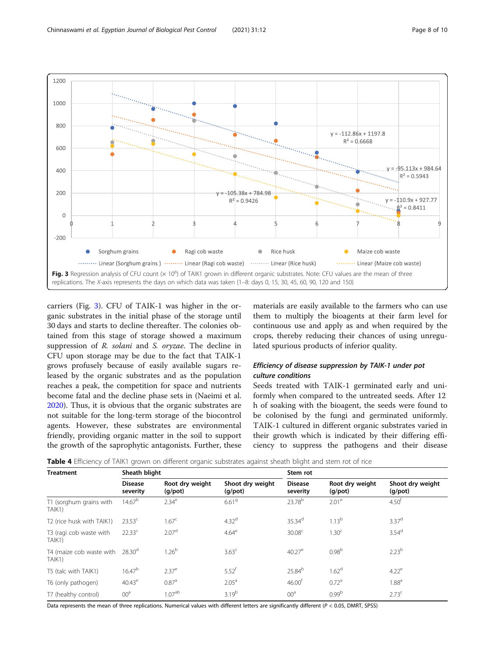<span id="page-7-0"></span>

carriers (Fig. 3). CFU of TAIK-1 was higher in the organic substrates in the initial phase of the storage until 30 days and starts to decline thereafter. The colonies obtained from this stage of storage showed a maximum suppression of R. solani and S. oryzae. The decline in CFU upon storage may be due to the fact that TAIK-1 grows profusely because of easily available sugars released by the organic substrates and as the population reaches a peak, the competition for space and nutrients become fatal and the decline phase sets in (Naeimi et al. [2020](#page-9-0)). Thus, it is obvious that the organic substrates are not suitable for the long-term storage of the biocontrol agents. However, these substrates are environmental friendly, providing organic matter in the soil to support the growth of the saprophytic antagonists. Further, these

materials are easily available to the farmers who can use them to multiply the bioagents at their farm level for continuous use and apply as and when required by the crops, thereby reducing their chances of using unregulated spurious products of inferior quality.

# Efficiency of disease suppression by TAIK-1 under pot culture conditions

Seeds treated with TAIK-1 germinated early and uniformly when compared to the untreated seeds. After 12 h of soaking with the bioagent, the seeds were found to be colonised by the fungi and germinated uniformly. TAIK-1 cultured in different organic substrates varied in their growth which is indicated by their differing efficiency to suppress the pathogens and their disease

|  |  |  |  | Table 4 Efficiency of TAIK1 grown on different organic substrates against sheath blight and stem rot of rice |  |
|--|--|--|--|--------------------------------------------------------------------------------------------------------------|--|
|  |  |  |  |                                                                                                              |  |

| <b>Treatment</b>                   | Sheath blight              |                                  |                                   | Stem rot                   |                               |                                   |  |  |  |
|------------------------------------|----------------------------|----------------------------------|-----------------------------------|----------------------------|-------------------------------|-----------------------------------|--|--|--|
|                                    | <b>Disease</b><br>severity | Root dry weight<br>$(g$ /pot $)$ | Shoot dry weight<br>$(g$ /pot $)$ | <b>Disease</b><br>severity | Root dry weight<br>$(g$ /pot) | Shoot dry weight<br>$(g$ /pot $)$ |  |  |  |
| T1 (sorghum grains with<br>TAIK1)  | 14.67 <sup>b</sup>         | 2.34 <sup>e</sup>                | 6.61 <sup>9</sup>                 | 23.78 <sup>b</sup>         | 2.01 <sup>e</sup>             | 4.50 <sup>†</sup>                 |  |  |  |
| T2 (rice husk with TAIK1)          | $23.53^{\circ}$            | 1.67 <sup>c</sup>                | 4.32 <sup>d</sup>                 | $35.34^d$                  | $1.13^{b}$                    | 3.37 <sup>d</sup>                 |  |  |  |
| T3 (ragi cob waste with<br>TAIK1)  | $22.33^c$                  | 2.07 <sup>d</sup>                | 4.64 <sup>e</sup>                 | 30.08 <sup>c</sup>         | 1.30 <sup>c</sup>             | 3.54 <sup>d</sup>                 |  |  |  |
| T4 (maize cob waste with<br>TAIK1) | 28.30 <sup>d</sup>         | 1.26 <sup>b</sup>                | 3.63 <sup>c</sup>                 | $40.27^e$                  | 0.98 <sup>b</sup>             | 2.23 <sup>b</sup>                 |  |  |  |
| T5 (talc with TAIK1)               | 16.47 <sup>b</sup>         | $2.37^e$                         | $5.52$ <sup>f</sup>               | 25.84 <sup>b</sup>         | 1.62 <sup>d</sup>             | 4.22 <sup>e</sup>                 |  |  |  |
| T6 (only pathogen)                 | $40.43^e$                  | 0.87 <sup>a</sup>                | 2.05 <sup>a</sup>                 | 46.00 <sup>†</sup>         | 0.72 <sup>a</sup>             | 1.88 <sup>a</sup>                 |  |  |  |
| T7 (healthy control)               | 00 <sup>a</sup>            | 1.07 <sup>ab</sup>               | 3.19 <sup>b</sup>                 | 00 <sup>a</sup>            | 0.99 <sup>b</sup>             | 2.73 <sup>c</sup>                 |  |  |  |

Data represents the mean of three replications. Numerical values with different letters are significantly different (P < 0.05, DMRT, SPSS)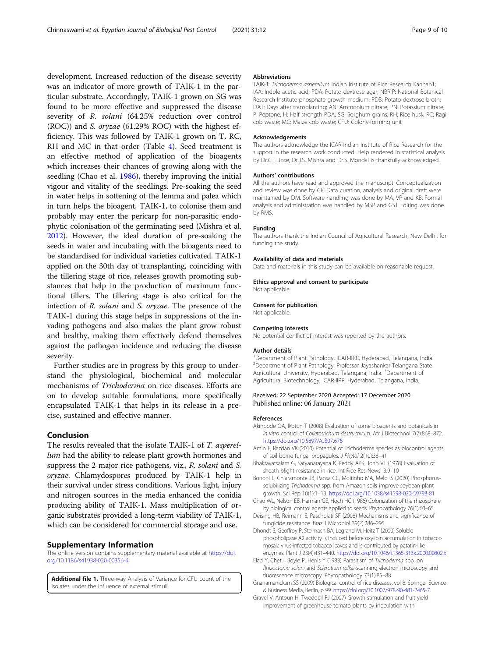<span id="page-8-0"></span>development. Increased reduction of the disease severity was an indicator of more growth of TAIK-1 in the particular substrate. Accordingly, TAIK-1 grown on SG was found to be more effective and suppressed the disease severity of R. solani (64.25% reduction over control (ROC)) and S. oryzae (61.29% ROC) with the highest efficiency. This was followed by TAIK-1 grown on T, RC, RH and MC in that order (Table [4](#page-7-0)). Seed treatment is an effective method of application of the bioagents which increases their chances of growing along with the seedling (Chao et al. 1986), thereby improving the initial vigour and vitality of the seedlings. Pre-soaking the seed in water helps in softening of the lemma and palea which in turn helps the bioagent, TAIK-1, to colonise them and probably may enter the pericarp for non-parasitic endophytic colonisation of the germinating seed (Mishra et al. [2012\)](#page-9-0). However, the ideal duration of pre-soaking the seeds in water and incubating with the bioagents need to be standardised for individual varieties cultivated. TAIK-1 applied on the 30th day of transplanting, coinciding with the tillering stage of rice, releases growth promoting substances that help in the production of maximum functional tillers. The tillering stage is also critical for the infection of R. solani and S. oryzae. The presence of the TAIK-1 during this stage helps in suppressions of the invading pathogens and also makes the plant grow robust and healthy, making them effectively defend themselves against the pathogen incidence and reducing the disease severity.

Further studies are in progress by this group to understand the physiological, biochemical and molecular mechanisms of Trichoderma on rice diseases. Efforts are on to develop suitable formulations, more specifically encapsulated TAIK-1 that helps in its release in a precise, sustained and effective manner.

### Conclusion

The results revealed that the isolate TAIK-1 of T. asperellum had the ability to release plant growth hormones and suppress the 2 major rice pathogens, viz., R. solani and S. oryzae. Chlamydospores produced by TAIK-1 help in their survival under stress conditions. Various light, injury and nitrogen sources in the media enhanced the conidia producing ability of TAIK-1. Mass multiplication of organic substrates provided a long-term viability of TAIK-1, which can be considered for commercial storage and use.

#### Supplementary Information

The online version contains supplementary material available at [https://doi.](https://doi.org/10.1186/s41938-020-00356-4) [org/10.1186/s41938-020-00356-4.](https://doi.org/10.1186/s41938-020-00356-4)

Additional file 1. Three-way Analysis of Variance for CFU count of the isolates under the influence of external stimuli.

#### Abbreviations

TAIK-1: Trichoderma asperellum Indian Institute of Rice Research Kannan1; IAA: Indole acetic acid; PDA: Potato dextrose agar; NBRIP: National Botanical Research Institute phosphate growth medium; PDB: Potato dextrose broth; DAT: Days after transplanting; AN: Ammonium nitrate; PN: Potassium nitrate; P: Peptone; H: Half strength PDA; SG: Sorghum grains; RH: Rice husk; RC: Ragi cob waste; MC: Maize cob waste; CFU: Colony-forming unit

#### Acknowledgements

The authors acknowledge the ICAR-Indian Institute of Rice Research for the support in the research work conducted. Help rendered in statistical analysis by Dr.C.T. Jose, Dr.J.S. Mishra and Dr.S. Mondal is thankfully acknowledged.

#### Authors' contributions

All the authors have read and approved the manuscript. Conceptualization and review was done by CK. Data curation, analysis and original draft were maintained by DM. Software handling was done by MA, VP and KB. Formal analysis and administration was handled by MSP and GSJ. Editing was done by RMS.

#### Funding

The authors thank the Indian Council of Agricultural Research, New Delhi, for funding the study.

#### Availability of data and materials

Data and materials in this study can be available on reasonable request.

# Ethics approval and consent to participate

Not applicable.

#### Consent for publication

Not applicable.

#### Competing interests

No potential conflict of interest was reported by the authors.

#### Author details

<sup>1</sup>Department of Plant Pathology, ICAR-IIRR, Hyderabad, Telangana, India. 2 Department of Plant Pathology, Professor Jayashankar Telangana State Agricultural University, Hyderabad, Telangana, India. <sup>3</sup>Department of Agricultural Biotechnology, ICAR-IIRR, Hyderabad, Telangana, India.

#### Received: 22 September 2020 Accepted: 17 December 2020 Published online: 06 January 2021

#### References

- Akinbode OA, Ikotun T (2008) Evaluation of some bioagents and botanicals in in vitro control of Colletotrichum destructivum. Afr J Biotechnol 7(7):868–872. <https://doi.org/10.5897/AJB07.676>
- Amin F, Razdan VK (2010) Potential of Trichoderma species as biocontrol agents of soil borne fungal propagules. J Phytol 2(10):38–41
- Bhaktavatsalam G, Satyanarayana K, Reddy APK, John VT (1978) Evaluation of sheath blight resistance in rice. Int Rice Res Newsl 3:9–10
- Bononi L, Chiaramonte JB, Pansa CC, Moitinho MA, Melo IS (2020) Phosphorussolubilizing Trichoderma spp. from Amazon soils improve soybean plant growth. Sci Rep 10(1):1–13. <https://doi.org/10.1038/s41598-020-59793-81>
- Chao WL, Nelson EB, Harman GE, Hoch HC (1986) Colonization of the rhizosphere by biological control agents applied to seeds. Phytopathology 76(1):60–65
- Deising HB, Reimann S, Pascholati SF (2008) Mechanisms and significance of fungicide resistance. Braz J Microbiol 39(2):286–295
- Dhondt S, Geoffroy P, Stelmach BA, Legrand M, Heitz T (2000) Soluble phospholipase A2 activity is induced before oxylipin accumulation in tobacco mosaic virus-infected tobacco leaves and is contributed by patatin-like enzymes. Plant J 23(4):431–440. <https://doi.org/10.1046/j.1365-313x.2000.00802.x>
- Elad Y, Chet I, Boyle P, Henis Y (1983) Parasitism of Trichoderma spp. on Rhizoctonia solani and Sclerotium rolfsii-scanning electron microscopy and fluorescence microscopy. Phytopathology 73(1):85–88
- Gnanamanickam SS (2009) Biological control of rice diseases, vol 8. Springer Science & Business Media, Berlin, p 99. <https://doi.org/10.1007/978-90-481-2465-7>
- Gravel V, Antoun H, Tweddell RJ (2007) Growth stimulation and fruit yield improvement of greenhouse tomato plants by inoculation with